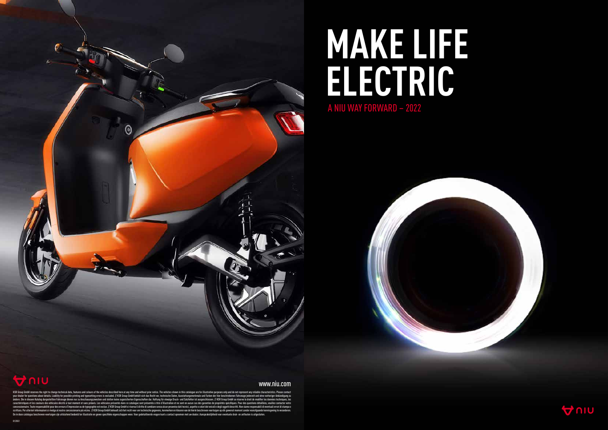

## **MAKE LIFE ELECTRIC** A NIU WAY FORWARD – 2022







## www.niu.com

KSR Group GmbH reserves the right to change technical data, features and colours of the vehicles described here at any time and without prior notice. The vehicles shown in this catalogue are for illustrative purposes only änden. Die in diesem Katalog dargestellten Fahrzeuge dienen nur zu Anschauungszwecken und stellen keine zugesicherten Eigenschaften dar. Haftung für etwaige Druck- und Satzfehler ist ausgeschlossen. // KSR Group GmbH se ré scrittura. Per ulteriori informazioni si rivolga al nostro concessionario più vicino. // KSR Group GmbH behoudt zich het recht voor om technische gegevens, kenmerken en kleuren van de hierin beschreven voertuigen op elk ge